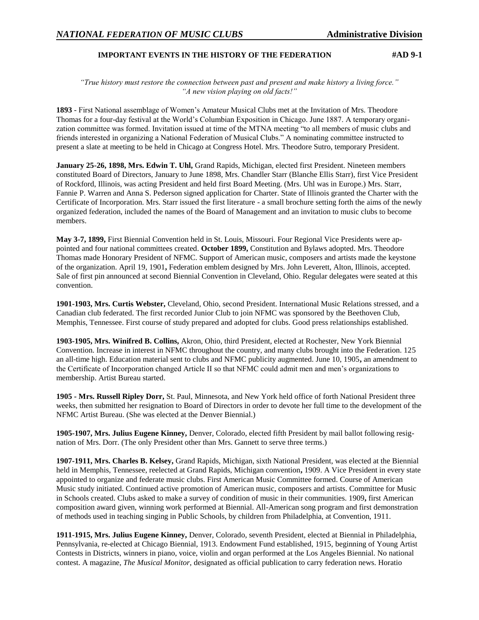## **IMPORTANT EVENTS IN THE HISTORY OF THE FEDERATION #AD 9-1**

*"True history must restore the connection between past and present and make history a living force." "A new vision playing on old facts!"*

**1893** - First National assemblage of Women's Amateur Musical Clubs met at the Invitation of Mrs. Theodore Thomas for a four-day festival at the World's Columbian Exposition in Chicago. June 1887. A temporary organization committee was formed. Invitation issued at time of the MTNA meeting "to all members of music clubs and friends interested in organizing a National Federation of Musical Clubs." A nominating committee instructed to present a slate at meeting to be held in Chicago at Congress Hotel. Mrs. Theodore Sutro, temporary President.

**January 25-26, 1898, Mrs. Edwin T. Uhl,** Grand Rapids, Michigan, elected first President. Nineteen members constituted Board of Directors, January to June 1898, Mrs. Chandler Starr (Blanche Ellis Starr), first Vice President of Rockford, Illinois, was acting President and held first Board Meeting. (Mrs. Uhl was in Europe.) Mrs. Starr, Fannie P. Warren and Anna S. Pederson signed application for Charter. State of Illinois granted the Charter with the Certificate of Incorporation. Mrs. Starr issued the first literature - a small brochure setting forth the aims of the newly organized federation, included the names of the Board of Management and an invitation to music clubs to become members.

**May 3-7, 1899,** First Biennial Convention held in St. Louis, Missouri. Four Regional Vice Presidents were appointed and four national committees created. **October 1899,** Constitution and Bylaws adopted. Mrs. Theodore Thomas made Honorary President of NFMC. Support of American music, composers and artists made the keystone of the organization. April 19, 1901**,** Federation emblem designed by Mrs. John Leverett, Alton, Illinois, accepted. Sale of first pin announced at second Biennial Convention in Cleveland, Ohio. Regular delegates were seated at this convention.

**1901-1903, Mrs. Curtis Webster,** Cleveland, Ohio, second President. International Music Relations stressed, and a Canadian club federated. The first recorded Junior Club to join NFMC was sponsored by the Beethoven Club, Memphis, Tennessee. First course of study prepared and adopted for clubs. Good press relationships established.

**1903-1905, Mrs. Winifred B. Collins,** Akron, Ohio, third President, elected at Rochester, New York Biennial Convention. Increase in interest in NFMC throughout the country, and many clubs brought into the Federation. 125 an all-time high. Education material sent to clubs and NFMC publicity augmented. June 10, 1905**,** an amendment to the Certificate of Incorporation changed Article II so that NFMC could admit men and men's organizations to membership. Artist Bureau started.

**1905 - Mrs. Russell Ripley Dorr,** St. Paul, Minnesota, and New York held office of forth National President three weeks, then submitted her resignation to Board of Directors in order to devote her full time to the development of the NFMC Artist Bureau. (She was elected at the Denver Biennial.)

**1905-1907, Mrs. Julius Eugene Kinney,** Denver, Colorado, elected fifth President by mail ballot following resignation of Mrs. Dorr. (The only President other than Mrs. Gannett to serve three terms.)

**1907-1911, Mrs. Charles B. Kelsey,** Grand Rapids, Michigan, sixth National President, was elected at the Biennial held in Memphis, Tennessee, reelected at Grand Rapids, Michigan convention**,** 1909. A Vice President in every state appointed to organize and federate music clubs. First American Music Committee formed. Course of American Music study initiated. Continued active promotion of American music, composers and artists. Committee for Music in Schools created. Clubs asked to make a survey of condition of music in their communities. 1909**,** first American composition award given, winning work performed at Biennial. All-American song program and first demonstration of methods used in teaching singing in Public Schools, by children from Philadelphia, at Convention, 1911.

**1911-1915, Mrs. Julius Eugene Kinney,** Denver, Colorado, seventh President, elected at Biennial in Philadelphia, Pennsylvania, re-elected at Chicago Biennial, 1913. Endowment Fund established, 1915, beginning of Young Artist Contests in Districts, winners in piano, voice, violin and organ performed at the Los Angeles Biennial. No national contest. A magazine, *The Musical Monitor,* designated as official publication to carry federation news. Horatio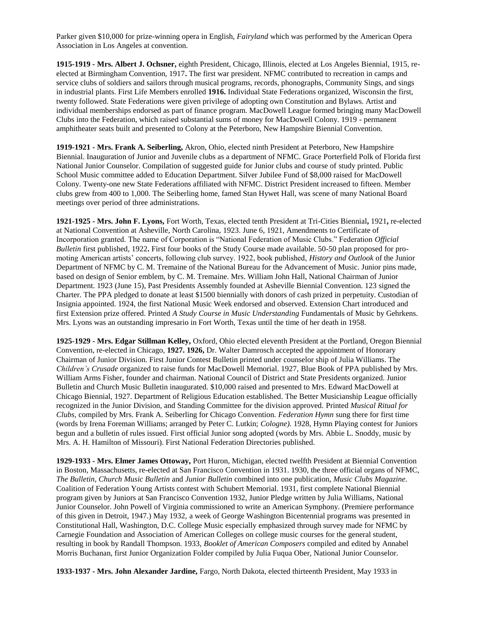Parker given \$10,000 for prize-winning opera in English, *Fairyland* which was performed by the American Opera Association in Los Angeles at convention.

**1915-1919 - Mrs. Albert J. Ochsner,** eighth President, Chicago, Illinois, elected at Los Angeles Biennial, 1915, reelected at Birmingham Convention, 1917**.** The first war president. NFMC contributed to recreation in camps and service clubs of soldiers and sailors through musical programs, records, phonographs, Community Sings, and sings in industrial plants. First Life Members enrolled **1916.** Individual State Federations organized, Wisconsin the first, twenty followed. State Federations were given privilege of adopting own Constitution and Bylaws. Artist and individual memberships endorsed as part of finance program. MacDowell League formed bringing many MacDowell Clubs into the Federation, which raised substantial sums of money for MacDowell Colony. 1919 - permanent amphitheater seats built and presented to Colony at the Peterboro, New Hampshire Biennial Convention.

**1919-1921 - Mrs. Frank A. Seiberling,** Akron, Ohio, elected ninth President at Peterboro, New Hampshire Biennial. Inauguration of Junior and Juvenile clubs as a department of NFMC. Grace Porterfield Polk of Florida first National Junior Counselor. Compilation of suggested guide for Junior clubs and course of study printed. Public School Music committee added to Education Department. Silver Jubilee Fund of \$8,000 raised for MacDowell Colony. Twenty-one new State Federations affiliated with NFMC. District President increased to fifteen. Member clubs grew from 400 to 1,000. The Seiberling home, famed Stan Hywet Hall, was scene of many National Board meetings over period of three administrations.

**1921-1925 - Mrs. John F. Lyons,** Fort Worth, Texas, elected tenth President at Tri-Cities Biennial**,** 1921**,** re-elected at National Convention at Asheville, North Carolina, 1923. June 6, 1921, Amendments to Certificate of Incorporation granted. The name of Corporation is "National Federation of Music Clubs." Federation *Official Bulletin* first published, 1922**.** First four books of the Study Course made available. 50-50 plan proposed for promoting American artists' concerts, following club survey. 1922, book published, *History and Outlook* of the Junior Department of NFMC by C. M. Tremaine of the National Bureau for the Advancement of Music. Junior pins made, based on design of Senior emblem, by C. M. Tremaine. Mrs. William John Hall, National Chairman of Junior Department. 1923 (June 15), Past Presidents Assembly founded at Asheville Biennial Convention. 123 signed the Charter. The PPA pledged to donate at least \$1500 biennially with donors of cash prized in perpetuity. Custodian of Insignia appointed. 1924, the first National Music Week endorsed and observed. Extension Chart introduced and first Extension prize offered. Printed *A Study Course in Music Understanding* Fundamentals of Music by Gehrkens. Mrs. Lyons was an outstanding impresario in Fort Worth, Texas until the time of her death in 1958.

**1925-1929 - Mrs. Edgar Stillman Kelley,** Oxford, Ohio elected eleventh President at the Portland, Oregon Biennial Convention, re-elected in Chicago, **1927. 1926,** Dr. Walter Damrosch accepted the appointment of Honorary Chairman of Junior Division. First Junior Contest Bulletin printed under counselor ship of Julia Williams. The *Children's Crusade* organized to raise funds for MacDowell Memorial. 1927, Blue Book of PPA published by Mrs. William Arms Fisher, founder and chairman. National Council of District and State Presidents organized. Junior Bulletin and Church Music Bulletin inaugurated. \$10,000 raised and presented to Mrs. Edward MacDowell at Chicago Biennial, 1927. Department of Religious Education established. The Better Musicianship League officially recognized in the Junior Division, and Standing Committee for the division approved. Printed *Musical Ritual for Clubs,* compiled by Mrs. Frank A. Seiberling for Chicago Convention. *Federation Hymn* sung there for first time (words by Irena Foreman Williams; arranged by Peter C. Lutkin; *Cologne).* 1928, Hymn Playing contest for Juniors begun and a bulletin of rules issued. First official Junior song adopted (words by Mrs. Abbie L. Snoddy, music by Mrs. A. H. Hamilton of Missouri). First National Federation Directories published.

**1929-1933 - Mrs. Elmer James Ottoway,** Port Huron, Michigan, elected twelfth President at Biennial Convention in Boston, Massachusetts, re-elected at San Francisco Convention in 1931. 1930, the three official organs of NFMC, *The Bulletin, Church Music Bulletin* and *Junior Bulletin* combined into one publication, *Music Clubs Magazine.* Coalition of Federation Young Artists contest with Schubert Memorial. 1931, first complete National Biennial program given by Juniors at San Francisco Convention 1932, Junior Pledge written by Julia Williams, National Junior Counselor. John Powell of Virginia commissioned to write an American Symphony. (Premiere performance of this given in Detroit, 1947.) May 1932, a week of George Washington Bicentennial programs was presented in Constitutional Hall, Washington, D.C. College Music especially emphasized through survey made for NFMC by Carnegie Foundation and Association of American Colleges on college music courses for the general student, resulting in book by Randall Thompson. 1933, *Booklet of American Composers* compiled and edited by Annabel Morris Buchanan, first Junior Organization Folder compiled by Julia Fuqua Ober, National Junior Counselor.

**1933-1937 - Mrs. John Alexander Jardine,** Fargo, North Dakota, elected thirteenth President, May 1933 in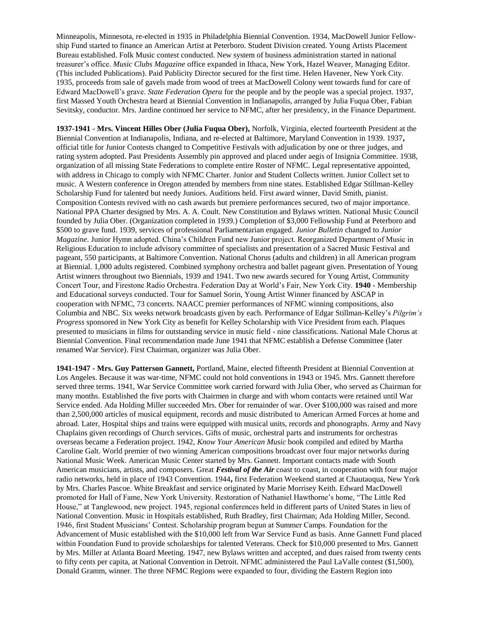Minneapolis, Minnesota, re-elected in 1935 in Philadelphia Biennial Convention. 1934, MacDowell Junior Fellowship Fund started to finance an American Artist at Peterboro. Student Division created. Young Artists Placement Bureau established. Folk Music contest conducted. New system of business administration started in national treasurer's office. *Music Clubs Magazine* office expanded in Ithaca, New York, Hazel Weaver, Managing Editor. (This included Publications). Paid Publicity Director secured for the first time. Helen Havener, New York City. 1935, proceeds from sale of gavels made from wood of trees at MacDowell Colony went towards fund for care of Edward MacDowell's grave. *State Federation Opera* for the people and by the people was a special project. 1937, first Massed Youth Orchestra heard at Biennial Convention in Indianapolis, arranged by Julia Fuqua Ober, Fabian Sevitsky, conductor. Mrs. Jardine continued her service to NFMC, after her presidency, in the Finance Department.

**1937-1941 - Mrs. Vincent Hilles Ober (Julia Fuqua Ober),** Norfolk, Virginia, elected fourteenth President at the Biennial Convention at Indianapolis, Indiana, and re-elected at Baltimore, Maryland Convention in 1939. 1937**,** official title for Junior Contests changed to Competitive Festivals with adjudication by one or three judges, and rating system adopted. Past Presidents Assembly pin approved and placed under aegis of Insignia Committee. 1938, organization of all missing State Federations to complete entire Roster of NFMC. Legal representative appointed, with address in Chicago to comply with NFMC Charter. Junior and Student Collects written. Junior Collect set to music. A Western conference in Oregon attended by members from nine states. Established Edgar Stillman-Kelley Scholarship Fund for talented but needy Juniors. Auditions held. First award winner, David Smith, pianist. Composition Contests revived with no cash awards but premiere performances secured, two of major importance. National PPA Charter designed by Mrs. A. A. Coult. New Constitution and Bylaws written. National Music Council founded by Julia Ober. (Organization completed in 1939.) Completion of \$3,000 Fellowship Fund at Peterboro and \$500 to grave fund. 1939, services of professional Parliamentarian engaged. *Junior Bulletin* changed to *Junior Magazine.* Junior Hymn adopted. China's Children Fund new Junior project. Reorganized Department of Music in Religious Education to include advisory committee of specialists and presentation of a Sacred Music Festival and pageant, 550 participants, at Baltimore Convention. National Chorus (adults and children) in all American program at Biennial. 1,000 adults registered. Combined symphony orchestra and ballet pageant given. Presentation of Young Artist winners throughout two Biennials, 1939 and 1941. Two new awards secured for Young Artist, Community Concert Tour, and Firestone Radio Orchestra. Federation Day at World's Fair, New York City. **1940 -** Membership and Educational surveys conducted. Tour for Samuel Sorin, Young Artist Winner financed by ASCAP in cooperation with NFMC, 73 concerts. NAACC premier performances of NFMC winning compositions, also Columbia and NBC. Six weeks network broadcasts given by each. Performance of Edgar Stillman-Kelley's *Pilgrim's Progress* sponsored in New York City as benefit for Kelley Scholarship with Vice President from each. Plaques presented to musicians in films for outstanding service in music field - nine classifications. National Male Chorus at Biennial Convention. Final recommendation made June 1941 that NFMC establish a Defense Committee (later renamed War Service). First Chairman, organizer was Julia Ober.

**1941-1947 - Mrs. Guy Patterson Gannett,** Portland, Maine, elected fifteenth President at Biennial Convention at Los Angeles. Because it was war-time, NFMC could not hold conventions in 1943 or 1945. Mrs. Gannett therefore served three terms. 1941, War Service Committee work carried forward with Julia Ober, who served as Chairman for many months. Established the five ports with Chairmen in charge and with whom contacts were retained until War Service ended. Ada Holding Miller succeeded Mrs. Ober for remainder of war. Over \$100,000 was raised and more than 2,500,000 articles of musical equipment, records and music distributed to American Armed Forces at home and abroad. Later, Hospital ships and trains were equipped with musical units, records and phonographs. Army and Navy Chaplains given recordings of Church services. Gifts of music, orchestral parts and instruments for orchestras overseas became a Federation project. 1942, *Know Your American Music* book compiled and edited by Martha Caroline Galt. World premier of two winning American compositions broadcast over four major networks during National Music Week. American Music Center started by Mrs. Gannett. Important contacts made with South American musicians, artists, and composers. Great *Festival of the Air* coast to coast, in cooperation with four major radio networks, held in place of 1943 Convention. 1944**,** first Federation Weekend started at Chautauqua, New York by Mrs. Charles Pascoe. White Breakfast and service originated by Marie Morrisey Keith. Edward MacDowell promoted for Hall of Fame, New York University. Restoration of Nathaniel Hawthorne's home, "The Little Red House," at Tanglewood, new project. 1945, regional conferences held in different parts of United States in lieu of National Convention. Music in Hospitals established, Ruth Bradley, first Chairman; Ada Holding Miller, Second. 1946, first Student Musicians' Contest. Scholarship program begun at Summer Camps. Foundation for the Advancement of Music established with the \$10,000 left from War Service Fund as basis. Anne Gannett Fund placed within Foundation Fund to provide scholarships for talented Veterans. Check for \$10,000 presented to Mrs. Gannett by Mrs. Miller at Atlanta Board Meeting. 1947, new Bylaws written and accepted, and dues raised from twenty cents to fifty cents per capita, at National Convention in Detroit. NFMC administered the Paul LaValle contest (\$1,500), Donald Gramm, winner. The three NFMC Regions were expanded to four, dividing the Eastern Region into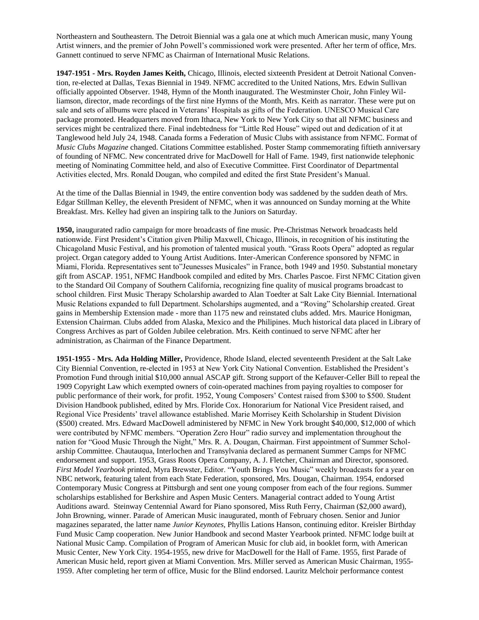Northeastern and Southeastern. The Detroit Biennial was a gala one at which much American music, many Young Artist winners, and the premier of John Powell's commissioned work were presented. After her term of office, Mrs. Gannett continued to serve NFMC as Chairman of International Music Relations.

**1947-1951 - Mrs. Royden James Keith,** Chicago, Illinois, elected sixteenth President at Detroit National Convention, re-elected at Dallas, Texas Biennial in 1949. NFMC accredited to the United Nations, Mrs. Edwin Sullivan officially appointed Observer. 1948, Hymn of the Month inaugurated. The Westminster Choir, John Finley Williamson, director, made recordings of the first nine Hymns of the Month, Mrs. Keith as narrator. These were put on sale and sets of allbums were placed in Veterans' Hospitals as gifts of the Federation. UNESCO Musical Care package promoted. Headquarters moved from Ithaca, New York to New York City so that all NFMC business and services might be centralized there. Final indebtedness for "Little Red House" wiped out and dedication of it at Tanglewood held July 24, 1948. Canada forms a Federation of Music Clubs with assistance from NFMC. Format of *Music Clubs Magazine* changed. Citations Committee established. Poster Stamp commemorating fiftieth anniversary of founding of NFMC. New concentrated drive for MacDowell for Hall of Fame. 1949, first nationwide telephonic meeting of Nominating Committee held, and also of Executive Committee. First Coordinator of Departmental Activities elected, Mrs. Ronald Dougan, who compiled and edited the first State President's Manual.

At the time of the Dallas Biennial in 1949, the entire convention body was saddened by the sudden death of Mrs. Edgar Stillman Kelley, the eleventh President of NFMC, when it was announced on Sunday morning at the White Breakfast. Mrs. Kelley had given an inspiring talk to the Juniors on Saturday.

**1950,** inaugurated radio campaign for more broadcasts of fine music. Pre-Christmas Network broadcasts held nationwide. First President's Citation given Philip Maxwell, Chicago, Illinois, in recognition of his instituting the Chicagoland Music Festival, and his promotion of talented musical youth. "Grass Roots Opera" adopted as regular project. Organ category added to Young Artist Auditions. Inter-American Conference sponsored by NFMC in Miami, Florida. Representatives sent to"Jeunesses Musicales" in France, both 1949 and 1950. Substantial monetary gift from ASCAP. 1951, NFMC Handbook compiled and edited by Mrs. Charles Pascoe. First NFMC Citation given to the Standard Oil Company of Southern California, recognizing fine quality of musical programs broadcast to school children. First Music Therapy Scholarship awarded to Alan Toedter at Salt Lake City Biennial. International Music Relations expanded to full Department. Scholarships augmented, and a "Roving" Scholarship created. Great gains in Membership Extension made - more than 1175 new and reinstated clubs added. Mrs. Maurice Honigman, Extension Chairman. Clubs added from Alaska, Mexico and the Philipines. Much historical data placed in Library of Congress Archives as part of Golden Jubilee celebration. Mrs. Keith continued to serve NFMC after her administration, as Chairman of the Finance Department.

**1951-1955 - Mrs. Ada Holding Miller,** Providence, Rhode Island, elected seventeenth President at the Salt Lake City Biennial Convention, re-elected in 1953 at New York City National Convention. Established the President's Promotion Fund through initial \$10,000 annual ASCAP gift. Strong support of the Kefauver-Celler Bill to repeal the 1909 Copyright Law which exempted owners of coin-operated machines from paying royalties to composer for public performance of their work, for profit. 1952, Young Composers' Contest raised from \$300 to \$500. Student Division Handbook published, edited by Mrs. Floride Cox. Honorarium for National Vice President raised, and Regional Vice Presidents' travel allowance established. Marie Morrisey Keith Scholarship in Student Division (\$500) created. Mrs. Edward MacDowell administered by NFMC in New York brought \$40,000, \$12,000 of which were contributed by NFMC members. "Operation Zero Hour" radio survey and implementation throughout the nation for "Good Music Through the Night," Mrs. R. A. Dougan, Chairman. First appointment of Summer Scholarship Committee. Chautauqua, Interlochen and Transylvania declared as permanent Summer Camps for NFMC endorsement and support. 1953, Grass Roots Opera Company, A. J. Fletcher, Chairman and Director, sponsored. *First Model Yearbook* printed, Myra Brewster, Editor. "Youth Brings You Music" weekly broadcasts for a year on NBC network, featuring talent from each State Federation, sponsored, Mrs. Dougan, Chairman. 1954, endorsed Contemporary Music Congress at Pittsburgh and sent one young composer from each of the four regions. Summer scholarships established for Berkshire and Aspen Music Centers. Managerial contract added to Young Artist Auditions award. Steinway Centennial Award for Piano sponsored, Miss Ruth Ferry, Chairman (\$2,000 award), John Browning, winner. Parade of American Music inaugurated, month of February chosen. Senior and Junior magazines separated, the latter name *Junior Keynotes,* Phyllis Lations Hanson, continuing editor. Kreisler Birthday Fund Music Camp cooperation. New Junior Handbook and second Master Yearbook printed. NFMC lodge built at National Music Camp. Compilation of Program of American Music for club aid, in booklet form, with American Music Center, New York City. 1954-1955, new drive for MacDowell for the Hall of Fame. 1955, first Parade of American Music held, report given at Miami Convention. Mrs. Miller served as American Music Chairman, 1955- 1959. After completing her term of office, Music for the Blind endorsed. Lauritz Melchoir performance contest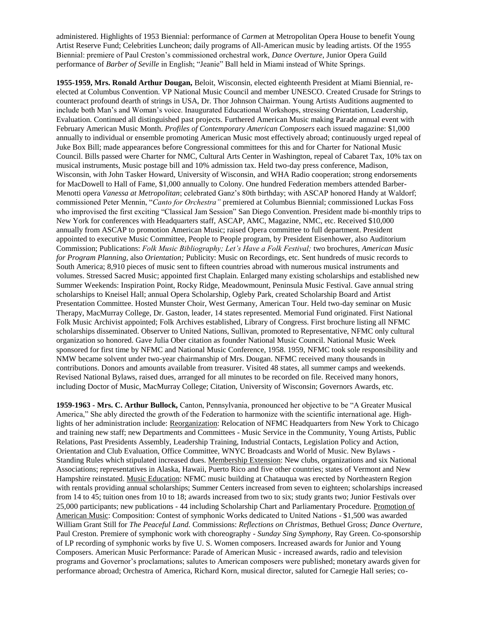administered. Highlights of 1953 Biennial: performance of *Carmen* at Metropolitan Opera House to benefit Young Artist Reserve Fund; Celebrities Luncheon; daily programs of All-American music by leading artists. Of the 1955 Biennial: premiere of Paul Creston's commissioned orchestral work, *Dance Overture*, Junior Opera Guild performance of *Barber of Seville* in English; "Jeanie" Ball held in Miami instead of White Springs.

**1955-1959, Mrs. Ronald Arthur Dougan,** Beloit, Wisconsin, elected eighteenth President at Miami Biennial, reelected at Columbus Convention. VP National Music Council and member UNESCO. Created Crusade for Strings to counteract profound dearth of strings in USA, Dr. Thor Johnson Chairman. Young Artists Auditions augmented to include both Man's and Woman's voice. Inaugurated Educational Workshops, stressing Orientation, Leadership, Evaluation. Continued all distinguished past projects. Furthered American Music making Parade annual event with February American Music Month. *Profiles of Contemporary American Composers* each issued magazine: \$1,000 annually to individual or ensemble promoting American Music most effectively abroad; continuously urged repeal of Juke Box Bill; made appearances before Congressional committees for this and for Charter for National Music Council. Bills passed were Charter for NMC, Cultural Arts Center in Washington, repeal of Cabaret Tax, 10% tax on musical instruments, Music postage bill and 10% admission tax. Held two-day press conference, Madison, Wisconsin, with John Tasker Howard, University of Wisconsin, and WHA Radio cooperation; strong endorsements for MacDowell to Hall of Fame, \$1,000 annually to Colony. One hundred Federation members attended Barber-Menotti opera *Vanessa at Metropolitan*; celebrated Ganz's 80th birthday; with ASCAP honored Handy at Waldorf; commissioned Peter Mennin, "*Canto for Orchestra"* premiered at Columbus Biennial; commissioned Luckas Foss who improvised the first exciting "Classical Jam Session" San Diego Convention. President made bi-monthly trips to New York for conferences with Headquarters staff, ASCAP, AMC, Magazine, NMC, etc. Received \$10,000 annually from ASCAP to promotion American Music; raised Opera committee to full department. President appointed to executive Music Committee, People to People program, by President Eisenhower, also Auditorium Commission; Publications: *Folk Music Bibliography; Let's Have a Folk Festival;* two brochures, *American Music for Program Planning,* also *Orientation;* Publicity: Music on Recordings, etc. Sent hundreds of music records to South America; 8,910 pieces of music sent to fifteen countries abroad with numerous musical instruments and volumes. Stressed Sacred Music; appointed first Chaplain. Enlarged many existing scholarships and established new Summer Weekends: Inspiration Point, Rocky Ridge, Meadowmount, Peninsula Music Festival. Gave annual string scholarships to Kneisel Hall; annual Opera Scholarship, Ogleby Park, created Scholarship Board and Artist Presentation Committee. Hosted Munster Choir, West Germany, American Tour. Held two-day seminar on Music Therapy, MacMurray College, Dr. Gaston, leader, 14 states represented. Memorial Fund originated. First National Folk Music Archivist appointed; Folk Archives established, Library of Congress. First brochure listing all NFMC scholarships disseminated. Observer to United Nations, Sullivan, promoted to Representative, NFMC only cultural organization so honored. Gave Julia Ober citation as founder National Music Council. National Music Week sponsored for first time by NFMC and National Music Conference, 1958. 1959, NFMC took sole responsibility and NMW became solvent under two-year chairmanship of Mrs. Dougan. NFMC received many thousands in contributions. Donors and amounts available from treasurer. Visited 48 states, all summer camps and weekends. Revised National Bylaws, raised dues, arranged for all minutes to be recorded on file. Received many honors, including Doctor of Music, MacMurray College; Citation, University of Wisconsin; Governors Awards, etc.

**1959-1963 - Mrs. C. Arthur Bullock,** Canton, Pennsylvania, pronounced her objective to be "A Greater Musical America," She ably directed the growth of the Federation to harmonize with the scientific international age. Highlights of her administration include: Reorganization: Relocation of NFMC Headquarters from New York to Chicago and training new staff; new Departments and Committees - Music Service in the Community, Young Artists, Public Relations, Past Presidents Assembly, Leadership Training, Industrial Contacts, Legislation Policy and Action, Orientation and Club Evaluation, Office Committee, WNYC Broadcasts and World of Music. New Bylaws - Standing Rules which stipulated increased dues. Membership Extension: New clubs, organizations and six National Associations; representatives in Alaska, Hawaii, Puerto Rico and five other countries; states of Vermont and New Hampshire reinstated. Music Education: NFMC music building at Chatauqua was erected by Northeastern Region with rentals providing annual scholarships; Summer Centers increased from seven to eighteen; scholarships increased from 14 to 45; tuition ones from 10 to 18; awards increased from two to six; study grants two; Junior Festivals over 25,000 participants; new publications - 44 including Scholarship Chart and Parliamentary Procedure. Promotion of American Music: Composition: Contest of symphonic Works dedicated to United Nations - \$1,500 was awarded William Grant Still for *The Peaceful Land.* Commissions: *Reflections on Christmas,* Bethuel Gross; *Dance Overture,* Paul Creston. Premiere of symphonic work with choreography - *Sunday Sing Symphony,* Ray Green. Co-sponsorship of LP recording of symphonic works by five U. S. Women composers. Increased awards for Junior and Young Composers. American Music Performance: Parade of American Music - increased awards, radio and television programs and Governor's proclamations; salutes to American composers were published; monetary awards given for performance abroad; Orchestra of America, Richard Korn, musical director, saluted for Carnegie Hall series; co-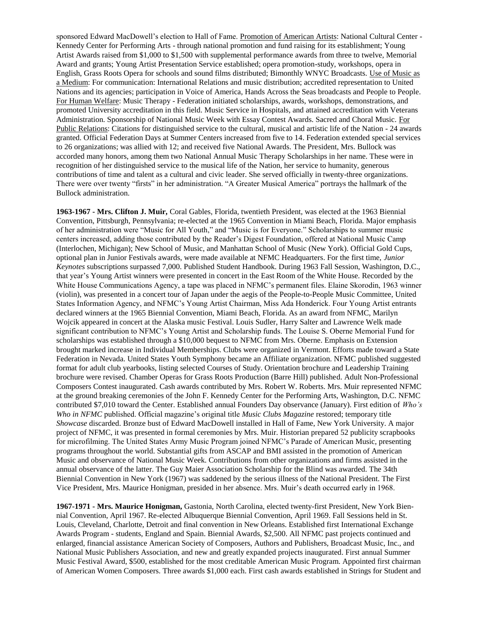sponsored Edward MacDowell's election to Hall of Fame. Promotion of American Artists: National Cultural Center - Kennedy Center for Performing Arts - through national promotion and fund raising for its establishment; Young Artist Awards raised from \$1,000 to \$1,500 with supplemental performance awards from three to twelve, Memorial Award and grants; Young Artist Presentation Service established; opera promotion-study, workshops, opera in English, Grass Roots Opera for schools and sound films distributed; Bimonthly WNYC Broadcasts. Use of Music as a Medium: For communication: International Relations and music distribution; accredited representation to United Nations and its agencies; participation in Voice of America, Hands Across the Seas broadcasts and People to People. For Human Welfare: Music Therapy - Federation initiated scholarships, awards, workshops, demonstrations, and promoted University accreditation in this field. Music Service in Hospitals, and attained accreditation with Veterans Administration. Sponsorship of National Music Week with Essay Contest Awards. Sacred and Choral Music. For Public Relations: Citations for distinguished service to the cultural, musical and artistic life of the Nation - 24 awards granted. Official Federation Days at Summer Centers increased from five to 14. Federation extended special services to 26 organizations; was allied with 12; and received five National Awards. The President, Mrs. Bullock was accorded many honors, among them two National Annual Music Therapy Scholarships in her name. These were in recognition of her distinguished service to the musical life of the Nation, her service to humanity, generous contributions of time and talent as a cultural and civic leader. She served officially in twenty-three organizations. There were over twenty "firsts" in her administration. "A Greater Musical America" portrays the hallmark of the Bullock administration.

**1963-1967 - Mrs. Clifton J. Muir,** Coral Gables, Florida, twentieth President, was elected at the 1963 Biennial Convention, Pittsburgh, Pennsylvania; re-elected at the 1965 Convention in Miami Beach, Florida. Major emphasis of her administration were "Music for All Youth," and "Music is for Everyone." Scholarships to summer music centers increased, adding those contributed by the Reader's Digest Foundation, offered at National Music Camp (Interlochen, Michigan); New School of Music, and Manhattan School of Music (New York). Official Gold Cups, optional plan in Junior Festivals awards, were made available at NFMC Headquarters. For the first time, *Junior Keynotes* subscriptions surpassed 7,000. Published Student Handbook. During 1963 Fall Session, Washington, D.C., that year's Young Artist winners were presented in concert in the East Room of the White House. Recorded by the White House Communications Agency, a tape was placed in NFMC's permanent files. Elaine Skorodin, 1963 winner (violin), was presented in a concert tour of Japan under the aegis of the People-to-People Music Committee, United States Information Agency, and NFMC's Young Artist Chairman, Miss Ada Honderick. Four Young Artist entrants declared winners at the 1965 Biennial Convention, Miami Beach, Florida. As an award from NFMC, Marilyn Wojcik appeared in concert at the Alaska music Festival. Louis Sudler, Harry Salter and Lawrence Welk made significant contribution to NFMC's Young Artist and Scholarship funds. The Louise S. Oberne Memorial Fund for scholarships was established through a \$10,000 bequest to NFMC from Mrs. Oberne. Emphasis on Extension brought marked increase in Individual Memberships. Clubs were organized in Vermont. Efforts made toward a State Federation in Nevada. United States Youth Symphony became an Affiliate organization. NFMC published suggested format for adult club yearbooks, listing selected Courses of Study. Orientation brochure and Leadership Training brochure were revised. Chamber Operas for Grass Roots Production (Barre Hill) published. Adult Non-Professional Composers Contest inaugurated. Cash awards contributed by Mrs. Robert W. Roberts. Mrs. Muir represented NFMC at the ground breaking ceremonies of the John F. Kennedy Center for the Performing Arts, Washington, D.C. NFMC contributed \$7,010 toward the Center. Established annual Founders Day observance (January). First edition of *Who's Who in NFMC* published. Official magazine's original title *Music Clubs Magazine* restored; temporary title *Showcase* discarded. Bronze bust of Edward MacDowell installed in Hall of Fame, New York University. A major project of NFMC, it was presented in formal ceremonies by Mrs. Muir. Historian prepared 52 publicity scrapbooks for microfilming. The United States Army Music Program joined NFMC's Parade of American Music, presenting programs throughout the world. Substantial gifts from ASCAP and BMI assisted in the promotion of American Music and observance of National Music Week. Contributions from other organizations and firms assisted in the annual observance of the latter. The Guy Maier Association Scholarship for the Blind was awarded. The 34th Biennial Convention in New York (1967) was saddened by the serious illness of the National President. The First Vice President, Mrs. Maurice Honigman, presided in her absence. Mrs. Muir's death occurred early in 1968.

**1967-1971 - Mrs. Maurice Honigman,** Gastonia, North Carolina, elected twenty-first President, New York Biennial Convention, April 1967. Re-elected Albuquerque Biennial Convention, April 1969. Fall Sessions held in St. Louis, Cleveland, Charlotte, Detroit and final convention in New Orleans. Established first International Exchange Awards Program - students, England and Spain. Biennial Awards, \$2,500. All NFMC past projects continued and enlarged, financial assistance American Society of Composers, Authors and Publishers, Broadcast Music, Inc., and National Music Publishers Association, and new and greatly expanded projects inaugurated. First annual Summer Music Festival Award, \$500, established for the most creditable American Music Program. Appointed first chairman of American Women Composers. Three awards \$1,000 each. First cash awards established in Strings for Student and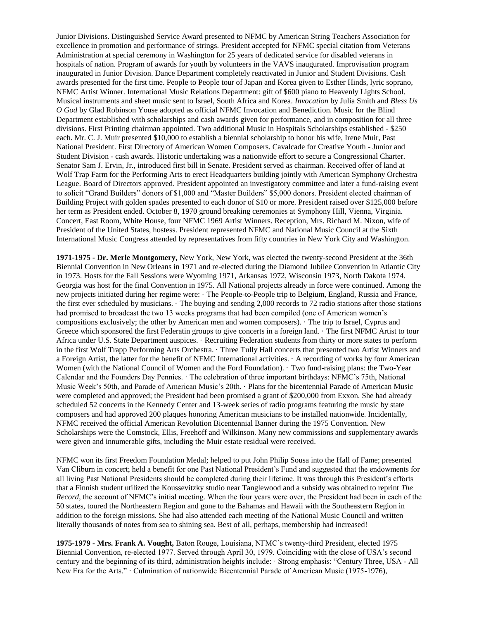Junior Divisions. Distinguished Service Award presented to NFMC by American String Teachers Association for excellence in promotion and performance of strings. President accepted for NFMC special citation from Veterans Administration at special ceremony in Washington for 25 years of dedicated service for disabled veterans in hospitals of nation. Program of awards for youth by volunteers in the VAVS inaugurated. Improvisation program inaugurated in Junior Division. Dance Department completely reactivated in Junior and Student Divisions. Cash awards presented for the first time. People to People tour of Japan and Korea given to Esther Hinds, lyric soprano, NFMC Artist Winner. International Music Relations Department: gift of \$600 piano to Heavenly Lights School. Musical instruments and sheet music sent to Israel, South Africa and Korea. *Invocation* by Julia Smith and *Bless Us O God* by Glad Robinson Youse adopted as official NFMC Invocation and Benediction. Music for the Blind Department established with scholarships and cash awards given for performance, and in composition for all three divisions. First Printing chairman appointed. Two additional Music in Hospitals Scholarships established - \$250 each. Mr. C. J. Muir presented \$10,000 to establish a biennial scholarship to honor his wife, Irene Muir, Past National President. First Directory of American Women Composers. Cavalcade for Creative Youth - Junior and Student Division - cash awards. Historic undertaking was a nationwide effort to secure a Congressional Charter. Senator Sam J. Ervin, Jr., introduced first bill in Senate. President served as chairman. Received offer of land at Wolf Trap Farm for the Performing Arts to erect Headquarters building jointly with American Symphony Orchestra League. Board of Directors approved. President appointed an investigatory committee and later a fund-raising event to solicit "Grand Builders" donors of \$1,000 and "Master Builders" \$5,000 donors. President elected chairman of Building Project with golden spades presented to each donor of \$10 or more. President raised over \$125,000 before her term as President ended. October 8, 1970 ground breaking ceremonies at Symphony Hill, Vienna, Virginia. Concert, East Room, White House, four NFMC 1969 Artist Winners. Reception, Mrs. Richard M. Nixon, wife of President of the United States, hostess. President represented NFMC and National Music Council at the Sixth International Music Congress attended by representatives from fifty countries in New York City and Washington.

**1971-1975 - Dr. Merle Montgomery,** New York, New York, was elected the twenty-second President at the 36th Biennial Convention in New Orleans in 1971 and re-elected during the Diamond Jubilee Convention in Atlantic City in 1973. Hosts for the Fall Sessions were Wyoming 1971, Arkansas 1972, Wisconsin 1973, North Dakota 1974. Georgia was host for the final Convention in 1975. All National projects already in force were continued. Among the new projects initiated during her regime were: · The People-to-People trip to Belgium, England, Russia and France, the first ever scheduled by musicians. · The buying and sending 2,000 records to 72 radio stations after those stations had promised to broadcast the two 13 weeks programs that had been compiled (one of American women's compositions exclusively; the other by American men and women composers). · The trip to Israel, Cyprus and Greece which sponsored the first Federatin groups to give concerts in a foreign land. · The first NFMC Artist to tour Africa under U.S. State Department auspices. · Recruiting Federation students from thirty or more states to perform in the first Wolf Trapp Performing Arts Orchestra. · Three Tully Hall concerts that presented two Artist Winners and a Foreign Artist, the latter for the benefit of NFMC International activities. · A recording of works by four American Women (with the National Council of Women and the Ford Foundation). · Two fund-raising plans: the Two-Year Calendar and the Founders Day Pennies. · The celebration of three important birthdays: NFMC's 75th, National Music Week's 50th, and Parade of American Music's 20th. · Plans for the bicentennial Parade of American Music were completed and approved; the President had been promised a grant of \$200,000 from Exxon. She had already scheduled 52 concerts in the Kennedy Center and 13-week series of radio programs featuring the music by state composers and had approved 200 plaques honoring American musicians to be installed nationwide. Incidentally, NFMC received the official American Revolution Bicentennial Banner during the 1975 Convention. New Scholarships were the Comstock, Ellis, Freehoff and Wilkinson. Many new commissions and supplementary awards were given and innumerable gifts, including the Muir estate residual were received.

NFMC won its first Freedom Foundation Medal; helped to put John Philip Sousa into the Hall of Fame; presented Van Cliburn in concert; held a benefit for one Past National President's Fund and suggested that the endowments for all living Past National Presidents should be completed during their lifetime. It was through this President's efforts that a Finnish student utilized the Koussevitzky studio near Tanglewood and a subsidy was obtained to reprint *The Record,* the account of NFMC's initial meeting. When the four years were over, the President had been in each of the 50 states, toured the Northeastern Region and gone to the Bahamas and Hawaii with the Southeastern Region in addition to the foreign missions. She had also attended each meeting of the National Music Council and written literally thousands of notes from sea to shining sea. Best of all, perhaps, membership had increased!

**1975-1979 - Mrs. Frank A. Vought,** Baton Rouge, Louisiana, NFMC's twenty-third President, elected 1975 Biennial Convention, re-elected 1977. Served through April 30, 1979. Coinciding with the close of USA's second century and the beginning of its third, administration heights include: · Strong emphasis: "Century Three, USA - All New Era for the Arts." · Culmination of nationwide Bicentennial Parade of American Music (1975-1976),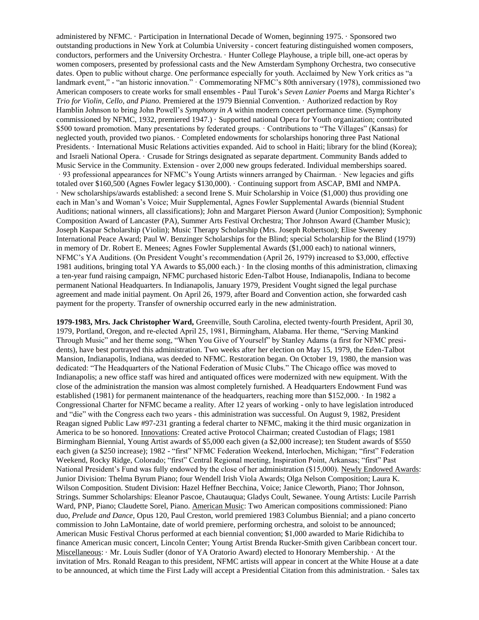administered by NFMC. · Participation in International Decade of Women, beginning 1975. · Sponsored two outstanding productions in New York at Columbia University - concert featuring distinguished women composers, conductors, performers and the University Orchestra. · Hunter College Playhouse, a triple bill, one-act operas by women composers, presented by professional casts and the New Amsterdam Symphony Orchestra, two consecutive dates. Open to public without charge. One performance especially for youth. Acclaimed by New York critics as "a landmark event," - "an historic innovation." · Commemorating NFMC's 80th anniversary (1978), commissioned two American composers to create works for small ensembles - Paul Turok's *Seven Lanier Poems* and Marga Richter's *Trio for Violin, Cello, and Piano.* Premiered at the 1979 Biennial Convention. · Authorized redaction by Roy Hamblin Johnson to bring John Powell's *Symphony in A* within modern concert performance time. (Symphony commissioned by NFMC, 1932, premiered 1947.) · Supported national Opera for Youth organization; contributed \$500 toward promotion. Many presentations by federated groups. · Contributions to "The Villages" (Kansas) for neglected youth, provided two pianos. · Completed endowments for scholarships honoring three Past National Presidents. · International Music Relations activities expanded. Aid to school in Haiti; library for the blind (Korea); and Israeli National Opera. · Crusade for Strings designated as separate department. Community Bands added to Music Service in the Community. Extension - over 2,000 new groups federated. Individual memberships soared. · 93 professional appearances for NFMC's Young Artists winners arranged by Chairman. · New legacies and gifts totaled over \$160,500 (Agnes Fowler legacy \$130,000). · Continuing support from ASCAP, BMI and NMPA. · New scholarships/awards established: a second Irene S. Muir Scholarship in Voice (\$1,000) thus providing one each in Man's and Woman's Voice; Muir Supplemental, Agnes Fowler Supplemental Awards (biennial Student Auditions; national winners, all classifications); John and Margaret Pierson Award (Junior Composition); Symphonic Composition Award of Lancaster (PA), Summer Arts Festival Orchestra; Thor Johnson Award (Chamber Music); Joseph Kaspar Scholarship (Violin); Music Therapy Scholarship (Mrs. Joseph Robertson); Elise Sweeney International Peace Award; Paul W. Benzinger Scholarships for the Blind; special Scholarship for the Blind (1979) in memory of Dr. Robert E. Menees; Agnes Fowler Supplemental Awards (\$1,000 each) to national winners, NFMC's YA Auditions. (On President Vought's recommendation (April 26, 1979) increased to \$3,000, effective 1981 auditions, bringing total YA Awards to \$5,000 each.) · In the closing months of this administration, climaxing a ten-year fund raising campaign, NFMC purchased historic Eden-Talbot House, Indianapolis, Indiana to become permanent National Headquarters. In Indianapolis, January 1979, President Vought signed the legal purchase agreement and made initial payment. On April 26, 1979, after Board and Convention action, she forwarded cash payment for the property. Transfer of ownership occurred early in the new administration.

**1979-1983, Mrs. Jack Christopher Ward,** Greenville, South Carolina, elected twenty-fourth President, April 30, 1979, Portland, Oregon, and re-elected April 25, 1981, Birmingham, Alabama. Her theme, "Serving Mankind Through Music" and her theme song, "When You Give of Yourself" by Stanley Adams (a first for NFMC presidents), have best portrayed this administration. Two weeks after her election on May 15, 1979, the Eden-Talbot Mansion, Indianapolis, Indiana, was deeded to NFMC. Restoration began. On October 19, 1980, the mansion was dedicated: "The Headquarters of the National Federation of Music Clubs." The Chicago office was moved to Indianapolis; a new office staff was hired and antiquated offices were modernized with new equipment. With the close of the administration the mansion was almost completely furnished. A Headquarters Endowment Fund was established (1981) for permanent maintenance of the headquarters, reaching more than \$152,000. · In 1982 a Congressional Charter for NFMC became a reality. After 12 years of working - only to have legislation introduced and "die" with the Congress each two years - this administration was successful. On August 9, 1982, President Reagan signed Public Law #97-231 granting a federal charter to NFMC, making it the third music organization in America to be so honored. Innovations: Created active Protocol Chairman; created Custodian of Flags; 1981 Birmingham Biennial, Young Artist awards of \$5,000 each given (a \$2,000 increase); ten Student awards of \$550 each given (a \$250 increase); 1982 - "first" NFMC Federation Weekend, Interlochen, Michigan; "first" Federation Weekend, Rocky Ridge, Colorado; "first" Central Regional meeting, Inspiration Point, Arkansas; "first" Past National President's Fund was fully endowed by the close of her administration (\$15,000). Newly Endowed Awards: Junior Division: Thelma Byrum Piano; four Wendell Irish Viola Awards; Olga Nelson Composition; Laura K. Wilson Composition. Student Division: Hazel Heffner Becchina, Voice; Janice Cleworth, Piano; Thor Johnson, Strings. Summer Scholarships: Eleanor Pascoe, Chautauqua; Gladys Coult, Sewanee. Young Artists: Lucile Parrish Ward, PNP, Piano; Claudette Sorel, Piano. American Music: Two American compositions commissioned: Piano duo, *Prelude and Dance,* Opus 120, Paul Creston, world premiered 1983 Columbus Biennial; and a piano concerto commission to John LaMontaine, date of world premiere, performing orchestra, and soloist to be announced; American Music Festival Chorus performed at each biennial convention; \$1,000 awarded to Marie Ridichiba to finance American music concert, Lincoln Center; Young Artist Brenda Rucker-Smith given Caribbean concert tour. Miscellaneous: · Mr. Louis Sudler (donor of YA Oratorio Award) elected to Honorary Membership. · At the invitation of Mrs. Ronald Reagan to this president, NFMC artists will appear in concert at the White House at a date to be announced, at which time the First Lady will accept a Presidential Citation from this administration. · Sales tax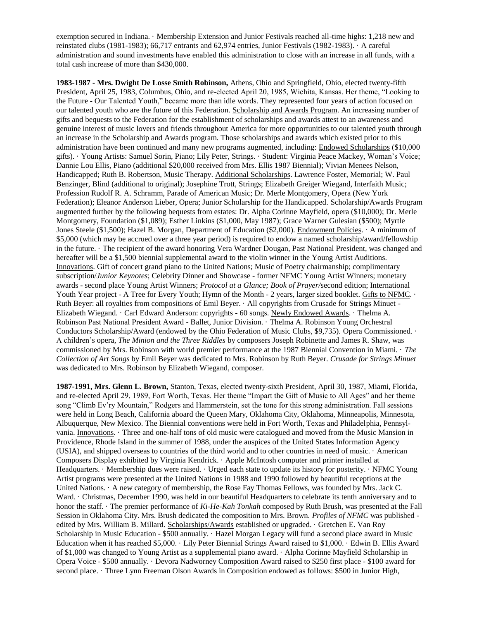exemption secured in Indiana. · Membership Extension and Junior Festivals reached all-time highs: 1,218 new and reinstated clubs (1981-1983); 66,717 entrants and 62,974 entries, Junior Festivals (1982-1983). · A careful administration and sound investments have enabled this administration to close with an increase in all funds, with a total cash increase of more than \$430,000.

**1983-1987 - Mrs. Dwight De Losse Smith Robinson,** Athens, Ohio and Springfield, Ohio, elected twenty-fifth President, April 25, 1983, Columbus, Ohio, and re-elected April 20, 1985, Wichita, Kansas. Her theme, "Looking to the Future - Our Talented Youth," became more than idle words. They represented four years of action focused on our talented youth who are the future of this Federation. Scholarship and Awards Program. An increasing number of gifts and bequests to the Federation for the establishment of scholarships and awards attest to an awareness and genuine interest of music lovers and friends throughout America for more opportunities to our talented youth through an increase in the Scholarship and Awards program. Those scholarships and awards which existed prior to this administration have been continued and many new programs augmented, including: Endowed Scholarships (\$10,000 gifts). · Young Artists: Samuel Sorin, Piano; Lily Peter, Strings. · Student: Virginia Peace Mackey, Woman's Voice; Dannie Lou Ellis, Piano (additional \$20,000 received from Mrs. Ellis 1987 Biennial); Vivian Menees Nelson, Handicapped; Ruth B. Robertson, Music Therapy. Additional Scholarships. Lawrence Foster, Memorial; W. Paul Benzinger, Blind (additional to original); Josephine Trott, Strings; Elizabeth Greiger Wiegand, Interfaith Music; Profession Rudolf R. A. Schramm, Parade of American Music; Dr. Merle Montgomery, Opera (New York Federation); Eleanor Anderson Lieber, Opera; Junior Scholarship for the Handicapped. Scholarship/Awards Program augmented further by the following bequests from estates: Dr. Alpha Corinne Mayfield, opera (\$10,000); Dr. Merle Montgomery, Foundation (\$1,089); Esther Linkins (\$1,000, May 1987); Grace Warner Gulesian (\$500); Myrtle Jones Steele (\$1,500); Hazel B. Morgan, Department of Education (\$2,000). Endowment Policies. · A minimum of \$5,000 (which may be accrued over a three year period) is required to endow a named scholarship/award/fellowship in the future. · The recipient of the award honoring Vera Wardner Dougan, Past National President, was changed and hereafter will be a \$1,500 biennial supplemental award to the violin winner in the Young Artist Auditions. Innovations. Gift of concert grand piano to the United Nations; Music of Poetry chairmanship; complimentary subscription/*Junior Keynotes*; Celebrity Dinner and Showcase - former NFMC Young Artist Winners; monetary awards - second place Young Artist Winners; *Protocol at a Glance; Book of Prayer/*second edition; International Youth Year project - A Tree for Every Youth; Hymn of the Month - 2 years, larger sized booklet. Gifts to NFMC.  $\cdot$ Ruth Beyer: all royalties from compositions of Emil Beyer. · All copyrights from Crusade for Strings Minuet - Elizabeth Wiegand. · Carl Edward Anderson: copyrights - 60 songs. Newly Endowed Awards. · Thelma A. Robinson Past National President Award - Ballet, Junior Division. · Thelma A. Robinson Young Orchestral Conductors Scholarship/Award (endowed by the Ohio Federation of Music Clubs, \$9,735). Opera Commissioned. · A children's opera, *The Minion and the Three Riddles* by composers Joseph Robinette and James R. Shaw, was commissioned by Mrs. Robinson with world premier performance at the 1987 Biennial Convention in Miami. · *The Collection of Art Songs* by Emil Beyer was dedicated to Mrs. Robinson by Ruth Beyer. *Crusade for Strings Minuet*  was dedicated to Mrs. Robinson by Elizabeth Wiegand, composer*.*

**1987-1991, Mrs. Glenn L. Brown,** Stanton, Texas, elected twenty-sixth President, April 30, 1987, Miami, Florida, and re-elected April 29, 1989, Fort Worth, Texas. Her theme "Impart the Gift of Music to All Ages" and her theme song "Climb Ev'ry Mountain," Rodgers and Hammerstein, set the tone for this strong administration. Fall sessions were held in Long Beach, California aboard the Queen Mary, Oklahoma City, Oklahoma, Minneapolis, Minnesota, Albuquerque, New Mexico. The Biennial conventions were held in Fort Worth, Texas and Philadelphia, Pennsylvania. Innovations. · Three and one-half tons of old music were catalogued and moved from the Music Mansion in Providence, Rhode Island in the summer of 1988, under the auspices of the United States Information Agency (USIA), and shipped overseas to countries of the third world and to other countries in need of music. · American Composers Display exhibited by Virginia Kendrick. · Apple McIntosh computer and printer installed at Headquarters. · Membership dues were raised. · Urged each state to update its history for posterity. · NFMC Young Artist programs were presented at the United Nations in 1988 and 1990 followed by beautiful receptions at the United Nations. · A new category of membership, the Rose Fay Thomas Fellows, was founded by Mrs. Jack C. Ward. · Christmas, December 1990, was held in our beautiful Headquarters to celebrate its tenth anniversary and to honor the staff. · The premier performance of *Ki-He-Kah Tonkah* composed by Ruth Brush, was presented at the Fall Session in Oklahoma City. Mrs. Brush dedicated the composition to Mrs. Brown. *Profiles of NFMC* was published edited by Mrs. William B. Millard. Scholarships/Awards established or upgraded. · Gretchen E. Van Roy Scholarship in Music Education - \$500 annually. · Hazel Morgan Legacy will fund a second place award in Music Education when it has reached \$5,000. · Lily Peter Biennial Strings Award raised to \$1,000. · Edwin B. Ellis Award of \$1,000 was changed to Young Artist as a supplemental piano award. · Alpha Corinne Mayfield Scholarship in Opera Voice - \$500 annually. · Devora Nadworney Composition Award raised to \$250 first place - \$100 award for second place. · Three Lynn Freeman Olson Awards in Composition endowed as follows: \$500 in Junior High,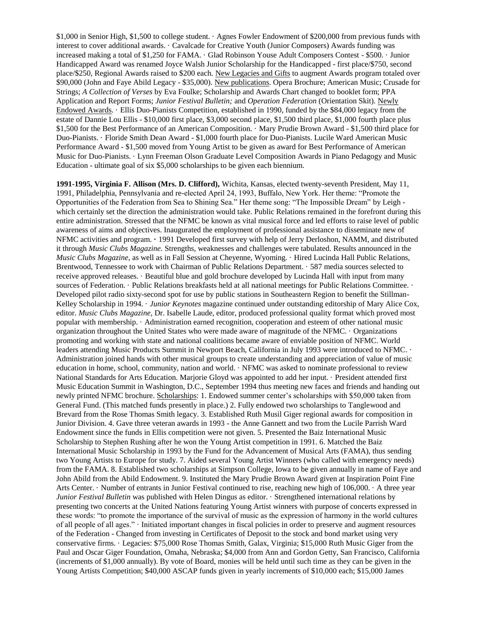\$1,000 in Senior High, \$1,500 to college student. · Agnes Fowler Endowment of \$200,000 from previous funds with interest to cover additional awards. · Cavalcade for Creative Youth (Junior Composers) Awards funding was increased making a total of \$1,250 for FAMA. · Glad Robinson Youse Adult Composers Contest - \$500. · Junior Handicapped Award was renamed Joyce Walsh Junior Scholarship for the Handicapped - first place/\$750, second place/\$250, Regional Awards raised to \$200 each. New Legacies and Gifts to augment Awards program totaled over \$90,000 (John and Faye Abild Legacy - \$35,000). New publications. Opera Brochure; American Music; Crusade for Strings; *A Collection of Verses* by Eva Foulke; Scholarship and Awards Chart changed to booklet form; PPA Application and Report Forms; *Junior Festival Bulletin;* and *Operation Federation* (Orientation Skit). Newly Endowed Awards. · Ellis Duo-Pianists Competition, established in 1990, funded by the \$84,000 legacy from the estate of Dannie Lou Ellis - \$10,000 first place, \$3,000 second place, \$1,500 third place, \$1,000 fourth place plus \$1,500 for the Best Performance of an American Composition. · Mary Prudie Brown Award - \$1,500 third place for Duo-Pianists. · Floride Smith Dean Award - \$1,000 fourth place for Duo-Pianists. Lucile Ward American Music Performance Award - \$1,500 moved from Young Artist to be given as award for Best Performance of American Music for Duo-Pianists. · Lynn Freeman Olson Graduate Level Composition Awards in Piano Pedagogy and Music Education - ultimate goal of six \$5,000 scholarships to be given each biennium.

**1991-1995, Virginia F. Allison (Mrs. D. Clifford),** Wichita, Kansas, elected twenty-seventh President, May 11, 1991, Philadelphia, Pennsylvania and re-elected April 24, 1993, Buffalo, New York. Her theme: "Promote the Opportunities of the Federation from Sea to Shining Sea." Her theme song: "The Impossible Dream" by Leigh which certainly set the direction the administration would take. Public Relations remained in the forefront during this entire administration. Stressed that the NFMC be known as vital musical force and led efforts to raise level of public awareness of aims and objectives. Inaugurated the employment of professional assistance to disseminate new of NFMC activities and program. **·** 1991 Developed first survey with help of Jerry Derloshon, NAMM, and distributed it through *Music Clubs Magazine.* Strengths, weaknesses and challenges were tabulated. Results announced in the *Music Clubs Magazine*, as well as in Fall Session at Cheyenne, Wyoming. · Hired Lucinda Hall Public Relations, Brentwood, Tennessee to work with Chairman of Public Relations Department. · 587 media sources selected to receive approved releases. · Beautiful blue and gold brochure developed by Lucinda Hall with input from many sources of Federation. · Public Relations breakfasts held at all national meetings for Public Relations Committee. · Developed pilot radio sixty-second spot for use by public stations in Southeastern Region to benefit the Stillman-Kelley Scholarship in 1994. · *Junior Keynotes* magazine continued under outstanding editorship of Mary Alice Cox, editor. *Music Clubs Magazine,* Dr. Isabelle Laude, editor, produced professional quality format which proved most popular with membership. · Administration earned recognition, cooperation and esteem of other national music organization throughout the United States who were made aware of magnitude of the NFMC. · Organizations promoting and working with state and national coalitions became aware of enviable position of NFMC. World leaders attending Music Products Summit in Newport Beach, California in July 1993 were introduced to NFMC. · Administration joined hands with other musical groups to create understanding and appreciation of value of music education in home, school, community, nation and world. · NFMC was asked to nominate professional to review National Standards for Arts Education. Marjorie Gloyd was appointed to add her input. · President attended first Music Education Summit in Washington, D.C., September 1994 thus meeting new faces and friends and handing out newly printed NFMC brochure. Scholarships: 1. Endowed summer center's scholarships with \$50,000 taken from General Fund. (This matched funds presently in place.) 2. Fully endowed two scholarships to Tanglewood and Brevard from the Rose Thomas Smith legacy. 3. Established Ruth Musil Giger regional awards for composition in Junior Division. 4. Gave three veteran awards in 1993 - the Anne Gannett and two from the Lucile Parrish Ward Endowment since the funds in Ellis competition were not given. 5. Presented the Baiz International Music Scholarship to Stephen Rushing after he won the Young Artist competition in 1991. 6. Matched the Baiz International Music Scholarship in 1993 by the Fund for the Advancement of Musical Arts (FAMA), thus sending two Young Artists to Europe for study. 7. Aided several Young Artist Winners (who called with emergency needs) from the FAMA. 8. Established two scholarships at Simpson College, Iowa to be given annually in name of Faye and John Abild from the Abild Endowment. 9. Instituted the Mary Prudie Brown Award given at Inspiration Point Fine Arts Center. · Number of entrants in Junior Festival continued to rise, reaching new high of 106,000. · A three year *Junior Festival Bulletin* was published with Helen Dingus as editor. · Strengthened international relations by presenting two concerts at the United Nations featuring Young Artist winners with purpose of concerts expressed in these words: "to promote the importance of the survival of music as the expression of harmony in the world cultures of all people of all ages." · Initiated important changes in fiscal policies in order to preserve and augment resources of the Federation - Changed from investing in Certificates of Deposit to the stock and bond market using very conservative firms. · Legacies: \$75,000 Rose Thomas Smith, Galax, Virginia; \$15,000 Ruth Music Giger from the Paul and Oscar Giger Foundation, Omaha, Nebraska; \$4,000 from Ann and Gordon Getty, San Francisco, California (increments of \$1,000 annually). By vote of Board, monies will be held until such time as they can be given in the Young Artists Competition; \$40,000 ASCAP funds given in yearly increments of \$10,000 each; \$15,000 James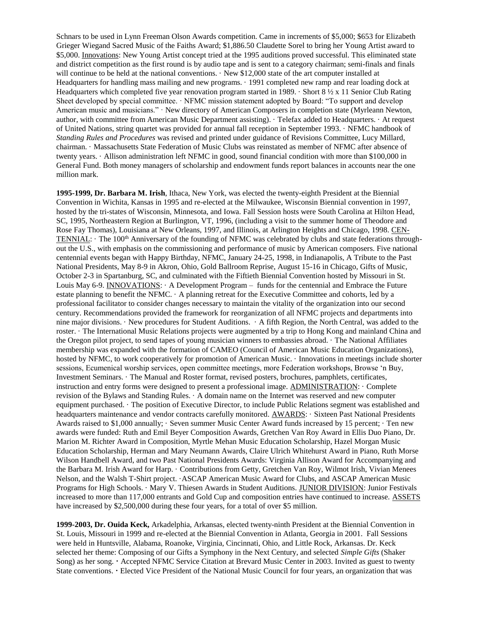Schnars to be used in Lynn Freeman Olson Awards competition. Came in increments of \$5,000; \$653 for Elizabeth Grieger Wiegand Sacred Music of the Faiths Award; \$1,886.50 Claudette Sorel to bring her Young Artist award to \$5,000. Innovations: New Young Artist concept tried at the 1995 auditions proved successful. This eliminated state and district competition as the first round is by audio tape and is sent to a category chairman; semi-finals and finals will continue to be held at the national conventions.  $\cdot$  New \$12,000 state of the art computer installed at Headquarters for handling mass mailing and new programs. · 1991 completed new ramp and rear loading dock at Headquarters which completed five year renovation program started in 1989. · Short 8 ½ x 11 Senior Club Rating Sheet developed by special committee. · NFMC mission statement adopted by Board: "To support and develop American music and musicians." · New directory of American Composers in completion state (Myrleann Newton, author, with committee from American Music Department assisting). · Telefax added to Headquarters. · At request of United Nations, string quartet was provided for annual fall reception in September 1993. · NFMC handbook of *Standing Rules and Procedures* was revised and printed under guidance of Revisions Committee, Lucy Millard, chairman. · Massachusetts State Federation of Music Clubs was reinstated as member of NFMC after absence of twenty years. · Allison administration left NFMC in good, sound financial condition with more than \$100,000 in General Fund. Both money managers of scholarship and endowment funds report balances in accounts near the one million mark.

**1995-1999, Dr. Barbara M. Irish**, Ithaca, New York, was elected the twenty-eighth President at the Biennial Convention in Wichita, Kansas in 1995 and re-elected at the Milwaukee, Wisconsin Biennial convention in 1997, hosted by the tri-states of Wisconsin, Minnesota, and Iowa. Fall Session hosts were South Carolina at Hilton Head, SC, 1995, Northeastern Region at Burlington, VT, 1996, (including a visit to the summer home of Theodore and Rose Fay Thomas), Louisiana at New Orleans, 1997, and Illinois, at Arlington Heights and Chicago, 1998. CEN-TENNIAL: · The 100th Anniversary of the founding of NFMC was celebrated by clubs and state federations throughout the U.S., with emphasis on the commissioning and performance of music by American composers. Five national centennial events began with Happy Birthday, NFMC, January 24-25, 1998, in Indianapolis, A Tribute to the Past National Presidents, May 8-9 in Akron, Ohio, Gold Ballroom Reprise, August 15-16 in Chicago, Gifts of Music, October 2-3 in Spartanburg, SC, and culminated with the Fiftieth Biennial Convention hosted by Missouri in St. Louis May 6-9. INNOVATIONS: · A Development Program – funds for the centennial and Embrace the Future estate planning to benefit the NFMC. · A planning retreat for the Executive Committee and cohorts, led by a professional facilitator to consider changes necessary to maintain the vitality of the organization into our second century. Recommendations provided the framework for reorganization of all NFMC projects and departments into nine major divisions. · New procedures for Student Auditions. · A fifth Region, the North Central, was added to the roster. · The International Music Relations projects were augmented by a trip to Hong Kong and mainland China and the Oregon pilot project, to send tapes of young musician winners to embassies abroad. · The National Affiliates membership was expanded with the formation of CAMEO (Council of American Music Education Organizations), hosted by NFMC, to work cooperatively for promotion of American Music. · Innovations in meetings include shorter sessions, Ecumenical worship services, open committee meetings, more Federation workshops, Browse 'n Buy, Investment Seminars. · The Manual and Roster format, revised posters, brochures, pamphlets, certificates, instruction and entry forms were designed to present a professional image. ADMINISTRATION: · Complete revision of the Bylaws and Standing Rules. · A domain name on the Internet was reserved and new computer equipment purchased. · The position of Executive Director, to include Public Relations segment was established and headquarters maintenance and vendor contracts carefully monitored. AWARDS: · Sixteen Past National Presidents Awards raised to \$1,000 annually; · Seven summer Music Center Award funds increased by 15 percent; · Ten new awards were funded: Ruth and Emil Beyer Composition Awards, Gretchen Van Roy Award in Ellis Duo Piano, Dr. Marion M. Richter Award in Composition, Myrtle Mehan Music Education Scholarship, Hazel Morgan Music Education Scholarship, Herman and Mary Neumann Awards, Claire Ulrich Whitehurst Award in Piano, Ruth Morse Wilson Handbell Award, and two Past National Presidents Awards: Virginia Allison Award for Accompanying and the Barbara M. Irish Award for Harp. · Contributions from Getty, Gretchen Van Roy, Wilmot Irish, Vivian Menees Nelson, and the Walsh T-Shirt project. ·ASCAP American Music Award for Clubs, and ASCAP American Music Programs for High Schools. · Mary V. Thiesen Awards in Student Auditions. JUNIOR DIVISION: Junior Festivals increased to more than 117,000 entrants and Gold Cup and composition entries have continued to increase. ASSETS have increased by \$2,500,000 during these four years, for a total of over \$5 million.

**1999-2003, Dr. Ouida Keck,** Arkadelphia, Arkansas, elected twenty-ninth President at the Biennial Convention in St. Louis, Missouri in 1999 and re-elected at the Biennial Convention in Atlanta, Georgia in 2001. Fall Sessions were held in Huntsville, Alabama, Roanoke, Virginia, Cincinnati, Ohio, and Little Rock, Arkansas. Dr. Keck selected her theme: Composing of our Gifts a Symphony in the Next Century, and selected *Simple Gifts* (Shaker Song) as her song. Accepted NFMC Service Citation at Brevard Music Center in 2003. Invited as guest to twenty State conventions. Elected Vice President of the National Music Council for four years, an organization that was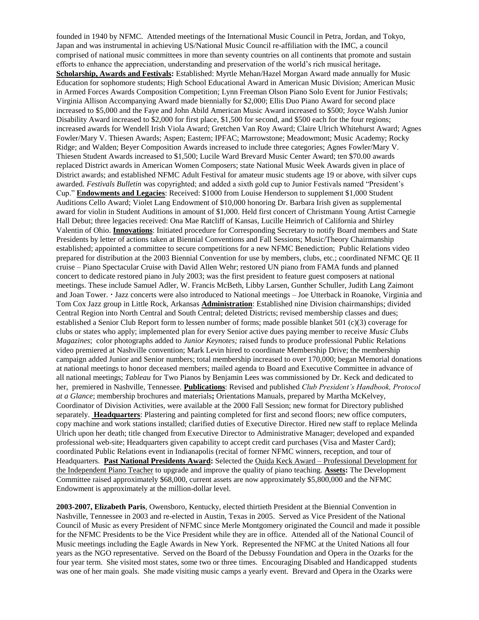founded in 1940 by NFMC. Attended meetings of the International Music Council in Petra, Jordan, and Tokyo, Japan and was instrumental in achieving US/National Music Council re-affiliation with the IMC, a council comprised of national music committees in more than seventy countries on all continents that promote and sustain efforts to enhance the appreciation, understanding and preservation of the world's rich musical heritage**. Scholarship, Awards and Festivals:** Established: Myrtle Mehan/Hazel Morgan Award made annually for Music Education for sophomore students; High School Educational Award in American Music Division; American Music in Armed Forces Awards Composition Competition; Lynn Freeman Olson Piano Solo Event for Junior Festivals; Virginia Allison Accompanying Award made biennially for \$2,000; Ellis Duo Piano Award for second place increased to \$5,000 and the Faye and John Abild American Music Award increased to \$500; Joyce Walsh Junior Disability Award increased to \$2,000 for first place, \$1,500 for second, and \$500 each for the four regions; increased awards for Wendell Irish Viola Award; Gretchen Van Roy Award; Claire Ulrich Whitehurst Award; Agnes Fowler/Mary V. Thiesen Awards; Aspen; Eastern; IPFAC; Marrowstone; Meadowmont; Music Academy; Rocky Ridge; and Walden; Beyer Composition Awards increased to include three categories; Agnes Fowler/Mary V. Thiesen Student Awards increased to \$1,500; Lucile Ward Brevard Music Center Award; ten \$70.00 awards replaced District awards in American Women Composers; state National Music Week Awards given in place of District awards; and established NFMC Adult Festival for amateur music students age 19 or above, with silver cups awarded. *Festivals Bulletin* was copyrighted; and added a sixth gold cup to Junior Festivals named "President's Cup." **Endowments and Legacies**: Received: \$1000 from Louise Henderson to supplement \$1,000 Student Auditions Cello Award; Violet Lang Endowment of \$10,000 honoring Dr. Barbara Irish given as supplemental award for violin in Student Auditions in amount of \$1,000. Held first concert of Christmann Young Artist Carnegie Hall Debut; three legacies received: Ona Mae Ratcliff of Kansas, Lucille Heimrich of California and Shirley Valentin of Ohio. **Innovations**: Initiated procedure for Corresponding Secretary to notify Board members and State Presidents by letter of actions taken at Biennial Conventions and Fall Sessions; Music/Theory Chairmanship established; appointed a committee to secure competitions for a new NFMC Benediction; Public Relations video prepared for distribution at the 2003 Biennial Convention for use by members, clubs, etc.; coordinated NFMC QE II cruise – Piano Spectacular Cruise with David Allen Wehr; restored UN piano from FAMA funds and planned concert to dedicate restored piano in July 2003; was the first president to feature guest composers at national meetings. These include Samuel Adler, W. Francis McBeth, Libby Larsen, Gunther Schuller, Judith Lang Zaimont and Joan Tower. Jazz concerts were also introduced to National meetings – Joe Utterback in Roanoke, Virginia and Tom Cox Jazz group in Little Rock, Arkansas **Administration**: Established nine Division chairmanships; divided Central Region into North Central and South Central; deleted Districts; revised membership classes and dues; established a Senior Club Report form to lessen number of forms; made possible blanket 501 (c)(3) coverage for clubs or states who apply; implemented plan for every Senior active dues paying member to receive *Music Clubs Magazines*; color photographs added to *Junior Keynotes;* raised funds to produce professional Public Relations video premiered at Nashville convention; Mark Levin hired to coordinate Membership Drive; the membership campaign added Junior and Senior numbers; total membership increased to over 170,000; began Memorial donations at national meetings to honor deceased members; mailed agenda to Board and Executive Committee in advance of all national meetings; *Tableau* for Two Pianos by Benjamin Lees was commissioned by Dr. Keck and dedicated to her, premiered in Nashville, Tennessee. **Publications**: Revised and published *Club President's Handbook, Protocol at a Glance*; membership brochures and materials**;** Orientations Manuals, prepared by Martha McKelvey, Coordinator of Division Activities, were available at the 2000 Fall Session; new format for Directory published separately. **Headquarters**: Plastering and painting completed for first and second floors; new office computers, copy machine and work stations installed; clarified duties of Executive Director. Hired new staff to replace Melinda Ulrich upon her death; title changed from Executive Director to Administrative Manager; developed and expanded professional web-site; Headquarters given capability to accept credit card purchases (Visa and Master Card); coordinated Public Relations event in Indianapolis (recital of former NFMC winners, reception, and tour of Headquarters. **Past National Presidents Award:** Selected the Ouida Keck Award – Professional Development for the Independent Piano Teacher to upgrade and improve the quality of piano teaching. **Assets:** The Development Committee raised approximately \$68,000, current assets are now approximately \$5,800,000 and the NFMC Endowment is approximately at the million-dollar level.

**2003-2007, Elizabeth Paris**, Owensboro, Kentucky, elected thirtieth President at the Biennial Convention in Nashville, Tennessee in 2003 and re-elected in Austin, Texas in 2005. Served as Vice President of the National Council of Music as every President of NFMC since Merle Montgomery originated the Council and made it possible for the NFMC Presidents to be the Vice President while they are in office. Attended all of the National Council of Music meetings including the Eagle Awards in New York. Represented the NFMC at the United Nations all four years as the NGO representative. Served on the Board of the Debussy Foundation and Opera in the Ozarks for the four year term. She visited most states, some two or three times. Encouraging Disabled and Handicapped students was one of her main goals. She made visiting music camps a yearly event. Brevard and Opera in the Ozarks were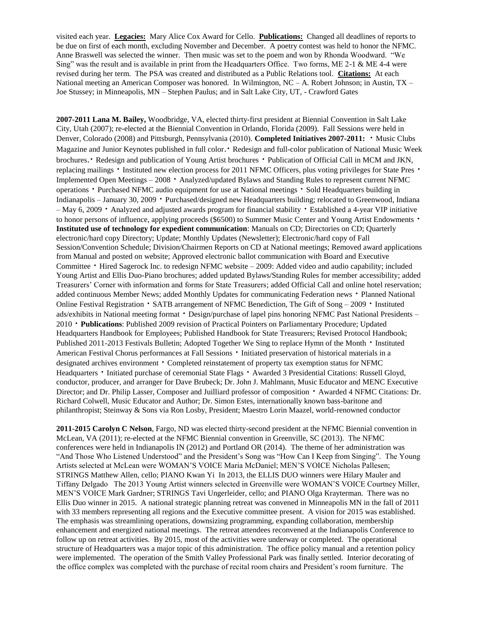visited each year. **Legacies:** Mary Alice Cox Award for Cello. **Publications:** Changed all deadlines of reports to be due on first of each month, excluding November and December. A poetry contest was held to honor the NFMC. Anne Braswell was selected the winner. Then music was set to the poem and won by Rhonda Woodward. "We Sing" was the result and is available in print from the Headquarters Office. Two forms, ME 2-1 & ME 4-4 were revised during her term. The PSA was created and distributed as a Public Relations tool. **Citations:** At each National meeting an American Composer was honored. In Wilmington, NC – A. Robert Johnson; in Austin, TX – Joe Stussey; in Minneapolis, MN – Stephen Paulus; and in Salt Lake City, UT, - Crawford Gates

**2007-2011 Lana M. Bailey,** Woodbridge, VA, elected thirty-first president at Biennial Convention in Salt Lake City, Utah (2007); re-elected at the Biennial Convention in Orlando, Florida (2009). Fall Sessions were held in Denver, Colorado (2008) and Pittsburgh, Pennsylvania (2010). **Completed Initiatives 2007-2011: \*** Music Clubs Magazine and Junior Keynotes published in full color. Redesign and full-color publication of National Music Week brochures. Redesign and publication of Young Artist brochures  $\cdot$  Publication of Official Call in MCM and JKN, replacing mailings  $\cdot$  Instituted new election process for 2011 NFMC Officers, plus voting privileges for State Pres  $\cdot$ Implemented Open Meetings –  $2008$   $\cdot$  Analyzed/updated Bylaws and Standing Rules to represent current NFMC operations • Purchased NFMC audio equipment for use at National meetings • Sold Headquarters building in Indianapolis – January 30, 2009 Purchased/designed new Headquarters building; relocated to Greenwood, Indiana – May 6, 2009  $\cdot$  Analyzed and adjusted awards program for financial stability  $\cdot$  Established a 4-year VIP initiative to honor persons of influence, applying proceeds (\$6500) to Summer Music Center and Young Artist Endowments  $\cdot$ **Instituted use of technology for expedient communication**: Manuals on CD; Directories on CD; Quarterly electronic/hard copy Directory; Update; Monthly Updates (Newsletter); Electronic/hard copy of Fall Session/Convention Schedule; Division/Chairmen Reports on CD at National meetings; Removed award applications from Manual and posted on website; Approved electronic ballot communication with Board and Executive Committee • Hired Sagerock Inc. to redesign NFMC website – 2009: Added video and audio capability; included Young Artist and Ellis Duo-Piano brochures; added updated Bylaws/Standing Rules for member accessibility; added Treasurers' Corner with information and forms for State Treasurers; added Official Call and online hotel reservation; added continuous Member News; added Monthly Updates for communicating Federation news • Planned National Online Festival Registration  $\cdot$  SATB arrangement of NFMC Benediction, The Gift of Song – 2009  $\cdot$  Instituted ads/exhibits in National meeting format • Design/purchase of lapel pins honoring NFMC Past National Presidents – 2010 **Publications**: Published 2009 revision of Practical Pointers on Parliamentary Procedure; Updated Headquarters Handbook for Employees; Published Handbook for State Treasurers; Revised Protocol Handbook; Published 2011-2013 Festivals Bulletin; Adopted Together We Sing to replace Hymn of the Month  $\cdot$  Instituted American Festival Chorus performances at Fall Sessions  $\cdot$  Initiated preservation of historical materials in a designated archives environment • Completed reinstatement of property tax exemption status for NFMC Headquarters • Initiated purchase of ceremonial State Flags • Awarded 3 Presidential Citations: Russell Gloyd, conductor, producer, and arranger for Dave Brubeck; Dr. John J. Mahlmann, Music Educator and MENC Executive Director; and Dr. Philip Lasser, Composer and Juilliard professor of composition  $\cdot$  Awarded 4 NFMC Citations: Dr. Richard Colwell, Music Educator and Author; Dr. Simon Estes, internationally known bass-baritone and philanthropist; Steinway & Sons via Ron Losby, President; Maestro Lorin Maazel, world-renowned conductor

**2011-2015 Carolyn C Nelson**, Fargo, ND was elected thirty-second president at the NFMC Biennial convention in McLean, VA (2011); re-elected at the NFMC Biennial convention in Greenville, SC (2013). The NFMC conferences were held in Indianapolis IN (2012) and Portland OR (2014). The theme of her administration was "And Those Who Listened Understood" and the President's Song was "How Can I Keep from Singing". The Young Artists selected at McLean were WOMAN'S VOICE Maria McDaniel; MEN'S VOICE Nicholas Pallesen; STRINGS Matthew Allen, cello; PIANO Kwan Yi In 2013, the ELLIS DUO winners were Hilary Mauler and Tiffany Delgado The 2013 Young Artist winners selected in Greenville were WOMAN'S VOICE Courtney Miller, MEN'S VOICE Mark Gardner; STRINGS Tavi Ungerleider, cello; and PIANO Olga Krayterman. There was no Ellis Duo winner in 2015. A national strategic planning retreat was convened in Minneapolis MN in the fall of 2011 with 33 members representing all regions and the Executive committee present. A vision for 2015 was established. The emphasis was streamlining operations, downsizing programming, expanding collaboration, membership enhancement and energized national meetings. The retreat attendees reconvened at the Indianapolis Conference to follow up on retreat activities. By 2015, most of the activities were underway or completed. The operational structure of Headquarters was a major topic of this administration. The office policy manual and a retention policy were implemented. The operation of the Smith Valley Professional Park was finally settled. Interior decorating of the office complex was completed with the purchase of recital room chairs and President's room furniture. The